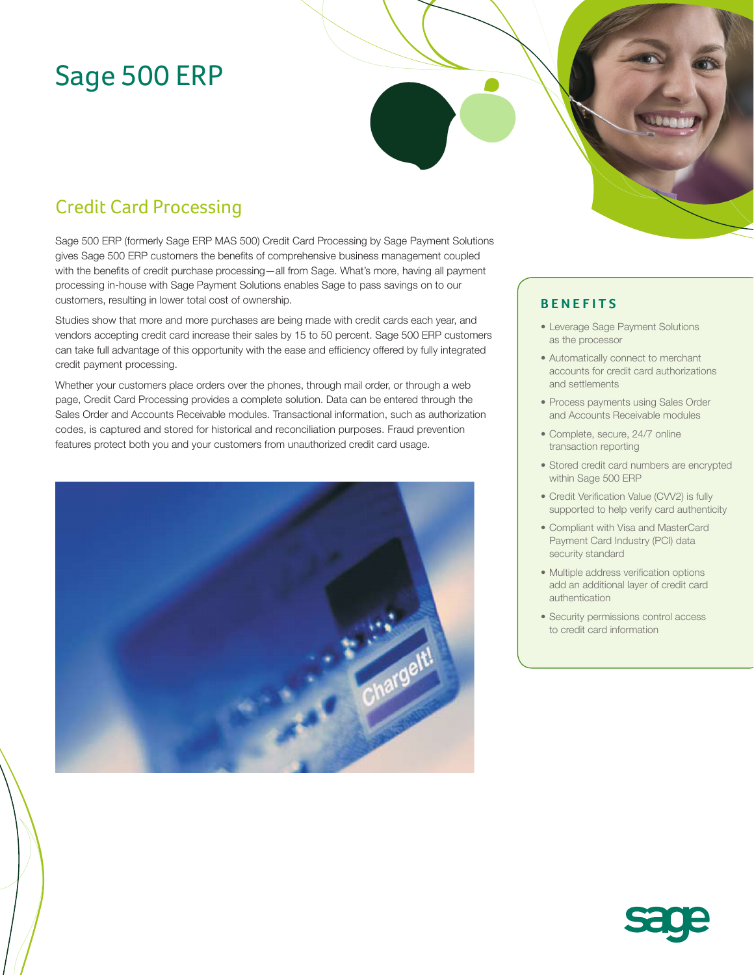# Sage 500 ERP

## Credit Card Processing

Sage 500 ERP (formerly Sage ERP MAS 500) Credit Card Processing by Sage Payment Solutions gives Sage 500 ERP customers the benefits of comprehensive business management coupled with the benefits of credit purchase processing—all from Sage. What's more, having all payment processing in-house with Sage Payment Solutions enables Sage to pass savings on to our customers, resulting in lower total cost of ownership.

Studies show that more and more purchases are being made with credit cards each year, and vendors accepting credit card increase their sales by 15 to 50 percent. Sage 500 ERP customers can take full advantage of this opportunity with the ease and efficiency offered by fully integrated credit payment processing.

Whether your customers place orders over the phones, through mail order, or through a web page, Credit Card Processing provides a complete solution. Data can be entered through the Sales Order and Accounts Receivable modules. Transactional information, such as authorization codes, is captured and stored for historical and reconciliation purposes. Fraud prevention features protect both you and your customers from unauthorized credit card usage.



#### **BENEFITS**

- Leverage Sage Payment Solutions as the processor
- Automatically connect to merchant accounts for credit card authorizations and settlements
- Process payments using Sales Order and Accounts Receivable modules
- Complete, secure, 24/7 online transaction reporting
- Stored credit card numbers are encrypted within Sage 500 ERP
- Credit Verification Value (CVV2) is fully supported to help verify card authenticity
- Compliant with Visa and MasterCard Payment Card Industry (PCI) data security standard
- Multiple address verification options add an additional layer of credit card authentication
- Security permissions control access to credit card information